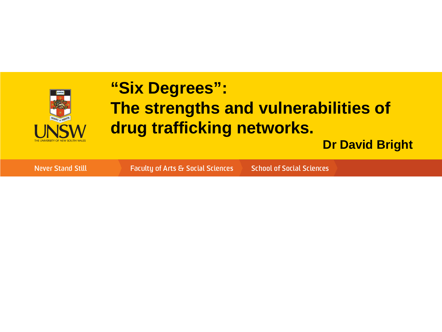

#### **"Six Degrees": The strengths and vulnerabilities of drug trafficking networks.**

**Dr David Bright**

**Never Stand Still** 

Faculty of Arts & Social Sciences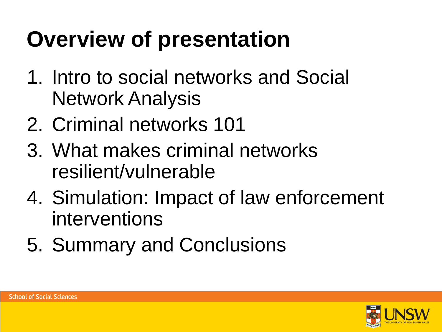# **Overview of presentation**

- 1. Intro to social networks and Social Network Analysis
- 2. Criminal networks 101
- 3. What makes criminal networks resilient/vulnerable
- 4. Simulation: Impact of law enforcement interventions
- 5. Summary and Conclusions

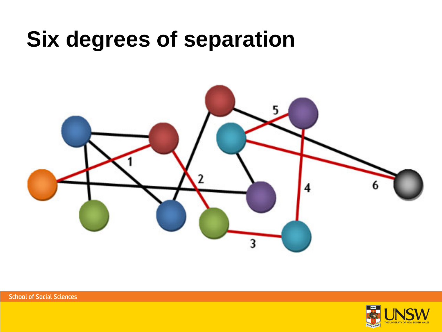## **Six degrees of separation**



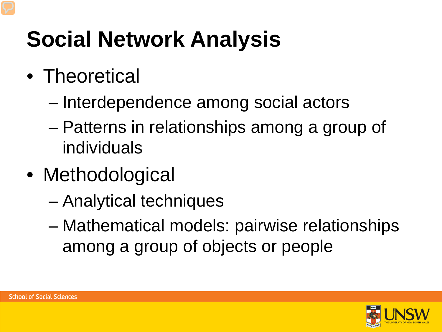# **Social Network Analysis**

- Theoretical
	- Interdependence among social actors
	- Patterns in relationships among a group of individuals
- Methodological
	- Analytical techniques
	- Mathematical models: pairwise relationships among a group of objects or people

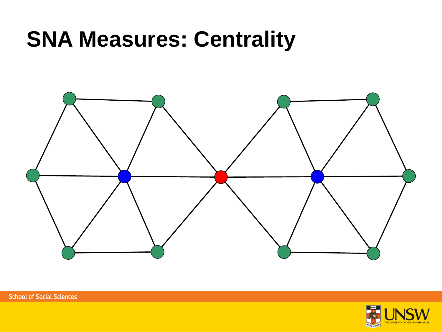## **SNA Measures: Centrality**



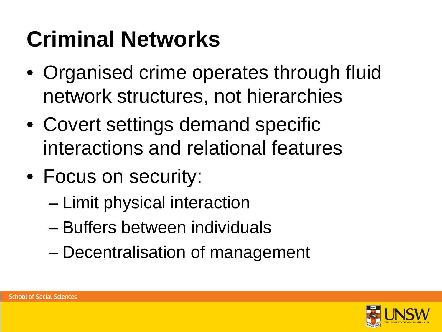# **Criminal Networks**

- Organised crime operates through fluid network structures, not hierarchies
- Covert settings demand specific interactions and relational features
- Focus on security:
	- Limit physical interaction
	- Buffers between individuals
	- Decentralisation of management

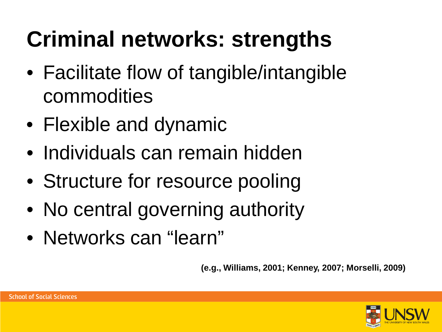# **Criminal networks: strengths**

- Facilitate flow of tangible/intangible commodities
- Flexible and dynamic
- Individuals can remain hidden
- Structure for resource pooling
- No central governing authority
- Networks can "learn"

**(e.g., Williams, 2001; Kenney, 2007; Morselli, 2009)**

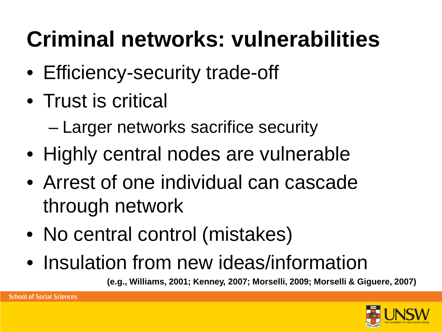# **Criminal networks: vulnerabilities**

- Efficiency-security trade-off
- Trust is critical
	- Larger networks sacrifice security
- Highly central nodes are vulnerable
- Arrest of one individual can cascade through network
- No central control (mistakes)
- Insulation from new ideas/information

**(e.g., Williams, 2001; Kenney, 2007; Morselli, 2009; Morselli & Giguere, 2007)**

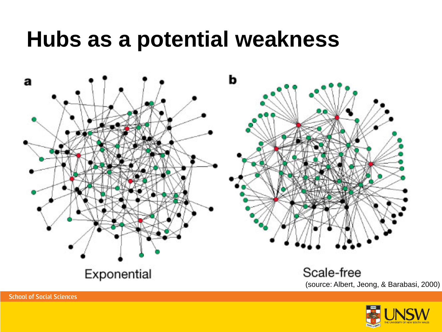### **Hubs as a potential weakness**



(source: Albert, Jeong, & Barabasi, 2000)

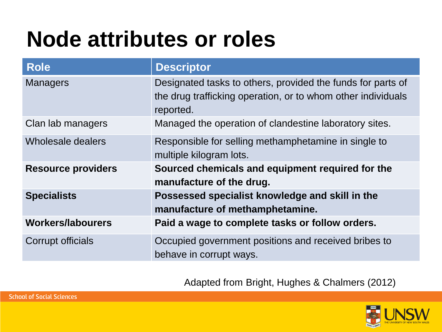## **Node attributes or roles**

| <b>Role</b>               | <b>Descriptor</b>                                                                                                                        |
|---------------------------|------------------------------------------------------------------------------------------------------------------------------------------|
| <b>Managers</b>           | Designated tasks to others, provided the funds for parts of<br>the drug trafficking operation, or to whom other individuals<br>reported. |
| Clan lab managers         | Managed the operation of clandestine laboratory sites.                                                                                   |
| Wholesale dealers         | Responsible for selling methamphetamine in single to<br>multiple kilogram lots.                                                          |
| <b>Resource providers</b> | Sourced chemicals and equipment required for the<br>manufacture of the drug.                                                             |
| <b>Specialists</b>        | Possessed specialist knowledge and skill in the<br>manufacture of methamphetamine.                                                       |
| <b>Workers/labourers</b>  | Paid a wage to complete tasks or follow orders.                                                                                          |
| Corrupt officials         | Occupied government positions and received bribes to<br>behave in corrupt ways.                                                          |

Adapted from Bright, Hughes & Chalmers (2012)

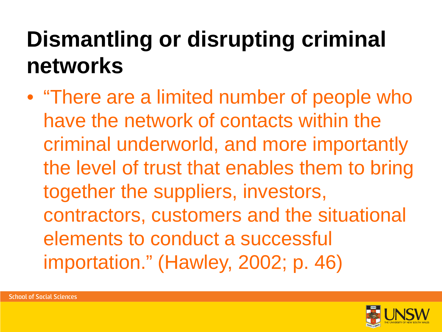## **Dismantling or disrupting criminal networks**

• "There are a limited number of people who have the network of contacts within the criminal underworld, and more importantly the level of trust that enables them to bring together the suppliers, investors, contractors, customers and the situational elements to conduct a successful importation." (Hawley, 2002; p. 46)

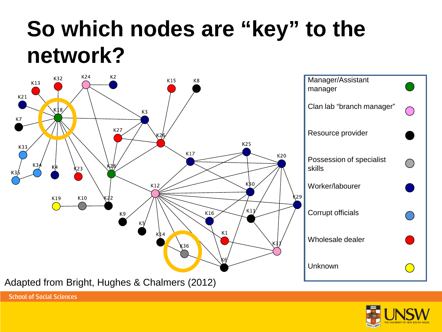## **So which nodes are "key" to the network?**



Adapted from Bright, Hughes & Chalmers (2012)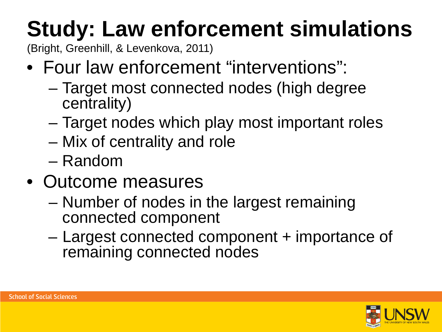# **Study: Law enforcement simulations**

(Bright, Greenhill, & Levenkova, 2011)

- Four law enforcement "interventions":
	- Target most connected nodes (high degree centrality)
	- Target nodes which play most important roles
	- Mix of centrality and role
	- Random
- Outcome measures
	- Number of nodes in the largest remaining connected component
	- Largest connected component + importance of remaining connected nodes

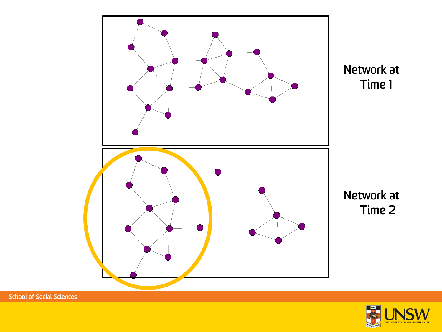

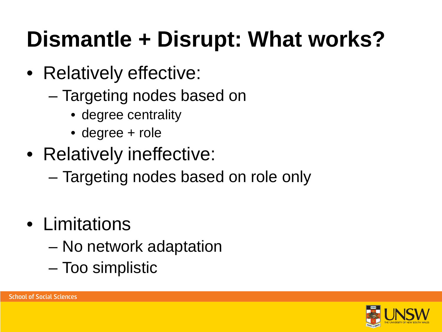# **Dismantle + Disrupt: What works?**

- Relatively effective:
	- Targeting nodes based on
		- degree centrality
		- degree + role
- Relatively ineffective:
	- Targeting nodes based on role only
- Limitations
	- No network adaptation
	- Too simplistic

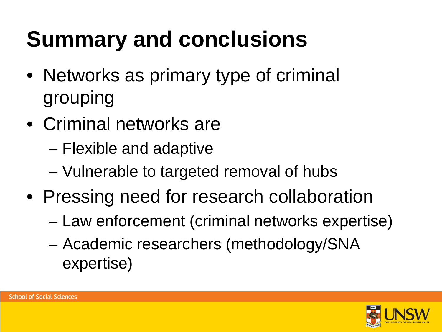# **Summary and conclusions**

- Networks as primary type of criminal grouping
- Criminal networks are
	- Flexible and adaptive
	- Vulnerable to targeted removal of hubs
- Pressing need for research collaboration
	- Law enforcement (criminal networks expertise)
	- Academic researchers (methodology/SNA expertise)